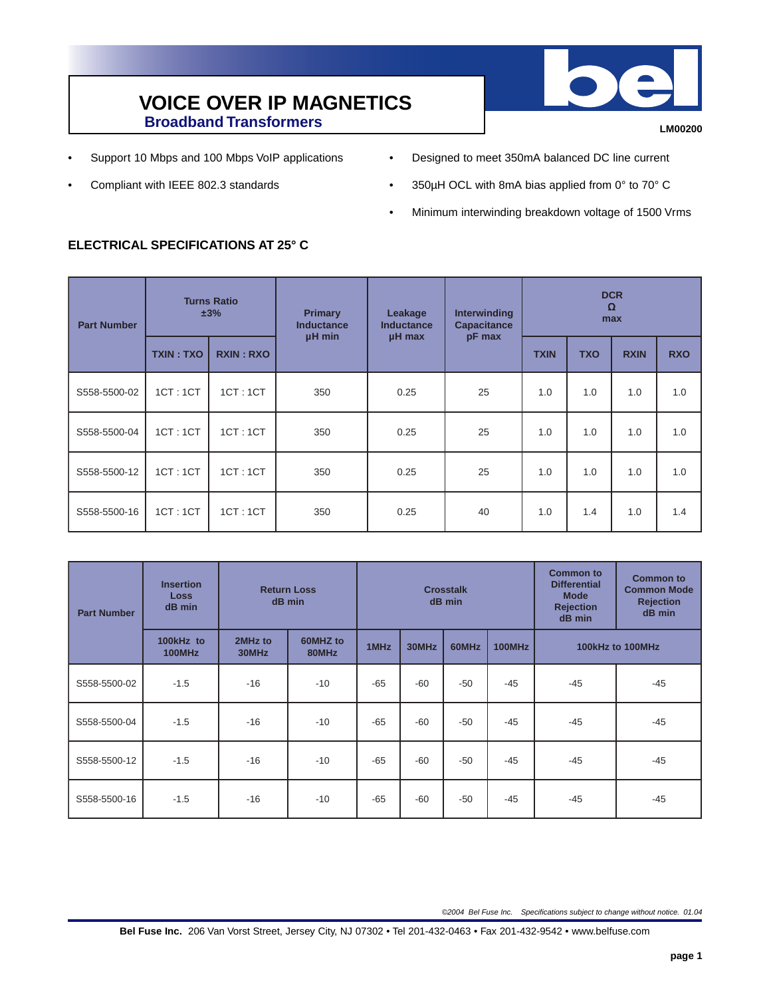

**LM00200**

- Support 10 Mbps and 100 Mbps VoIP applications
- Compliant with IEEE 802.3 standards
- Designed to meet 350mA balanced DC line current
- 350µH OCL with 8mA bias applied from 0° to 70° C
- Minimum interwinding breakdown voltage of 1500 Vrms

## **ELECTRICAL SPECIFICATIONS AT 25° C**

| <b>Part Number</b> | <b>Turns Ratio</b><br>±3% |                  | <b>Primary</b><br><b>Inductance</b><br>µH min | Leakage<br>Inductance | <b>Interwinding</b><br><b>Capacitance</b><br>pF max | <b>DCR</b><br>$\Omega$<br>max |            |             |            |
|--------------------|---------------------------|------------------|-----------------------------------------------|-----------------------|-----------------------------------------------------|-------------------------------|------------|-------------|------------|
|                    | <b>TXIN: TXO</b>          | <b>RXIN: RXO</b> |                                               | µH max                |                                                     | <b>TXIN</b>                   | <b>TXO</b> | <b>RXIN</b> | <b>RXO</b> |
| S558-5500-02       | 1CT:1CT                   | 1CT:1CT          | 350                                           | 0.25                  | 25                                                  | 1.0                           | 1.0        | 1.0         | 1.0        |
| S558-5500-04       | 1CT:1CT                   | 1CT:1CT          | 350                                           | 0.25                  | 25                                                  | 1.0                           | 1.0        | 1.0         | 1.0        |
| S558-5500-12       | 1CT:1CT                   | 1CT:1CT          | 350                                           | 0.25                  | 25                                                  | 1.0                           | 1.0        | 1.0         | 1.0        |
| S558-5500-16       | 1CT:1CT                   | 1CT:1CT          | 350                                           | 0.25                  | 40                                                  | 1.0                           | 1.4        | 1.0         | 1.4        |

| <b>Part Number</b> | <b>Insertion</b><br>Loss<br>dB min | <b>Return Loss</b><br>dB min | <b>Crosstalk</b><br>dB min |       |       |       | <b>Common to</b><br><b>Differential</b><br><b>Mode</b><br><b>Rejection</b><br>dB min | <b>Common to</b><br><b>Common Mode</b><br><b>Rejection</b><br>dB min |       |
|--------------------|------------------------------------|------------------------------|----------------------------|-------|-------|-------|--------------------------------------------------------------------------------------|----------------------------------------------------------------------|-------|
|                    | 100kHz to<br>100MHz                | 2MHz to<br>30MHz             | 60MHZ to<br>80MHz          | 1MHz  | 30MHz | 60MHz | <b>100MHz</b>                                                                        | 100kHz to 100MHz                                                     |       |
| S558-5500-02       | $-1.5$                             | $-16$                        | $-10$                      | $-65$ | $-60$ | $-50$ | $-45$                                                                                | $-45$                                                                | $-45$ |
| S558-5500-04       | $-1.5$                             | $-16$                        | $-10$                      | $-65$ | $-60$ | $-50$ | $-45$                                                                                | $-45$                                                                | $-45$ |
| S558-5500-12       | $-1.5$                             | $-16$                        | $-10$                      | $-65$ | $-60$ | $-50$ | $-45$                                                                                | $-45$                                                                | $-45$ |
| S558-5500-16       | $-1.5$                             | $-16$                        | $-10$                      | $-65$ | $-60$ | $-50$ | $-45$                                                                                | $-45$                                                                | $-45$ |

©2004 Bel Fuse Inc. Specifications subject to change without notice. 01.04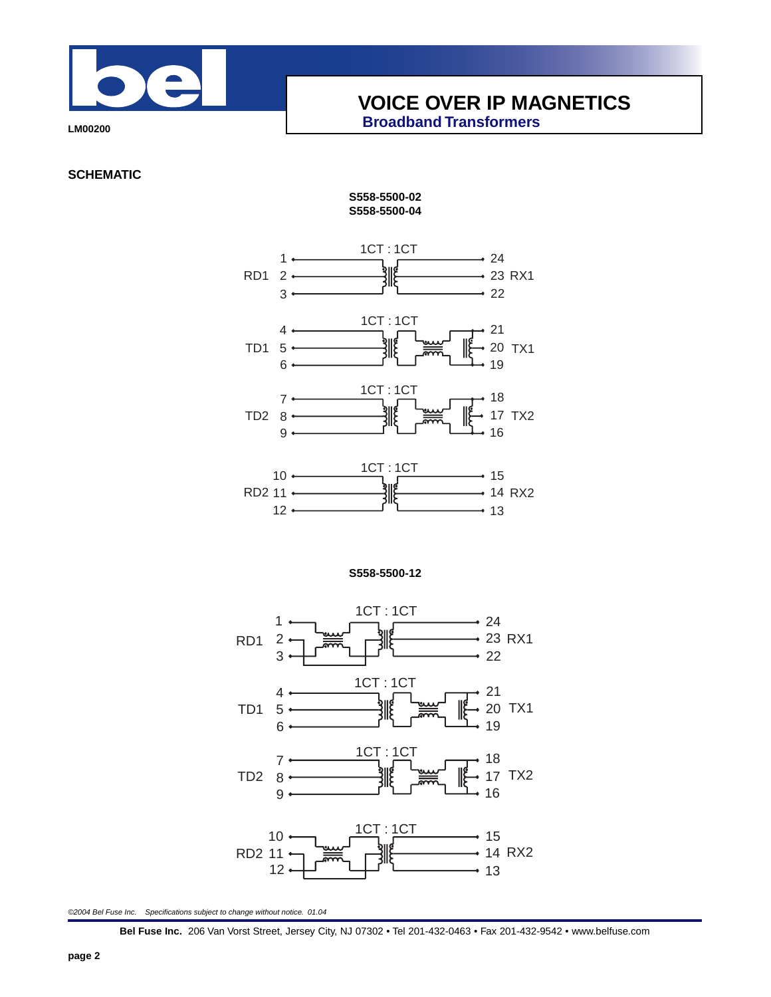

**LM00200**

**SCHEMATIC**

## **S558-5500-02 S558-5500-04**



**S558-5500-12**



©2004 Bel Fuse Inc. Specifications subject to change without notice. 01.04

**Bel Fuse Inc.** 206 Van Vorst Street, Jersey City, NJ 07302 • Tel 201-432-0463 • Fax 201-432-9542 • www.belfuse.com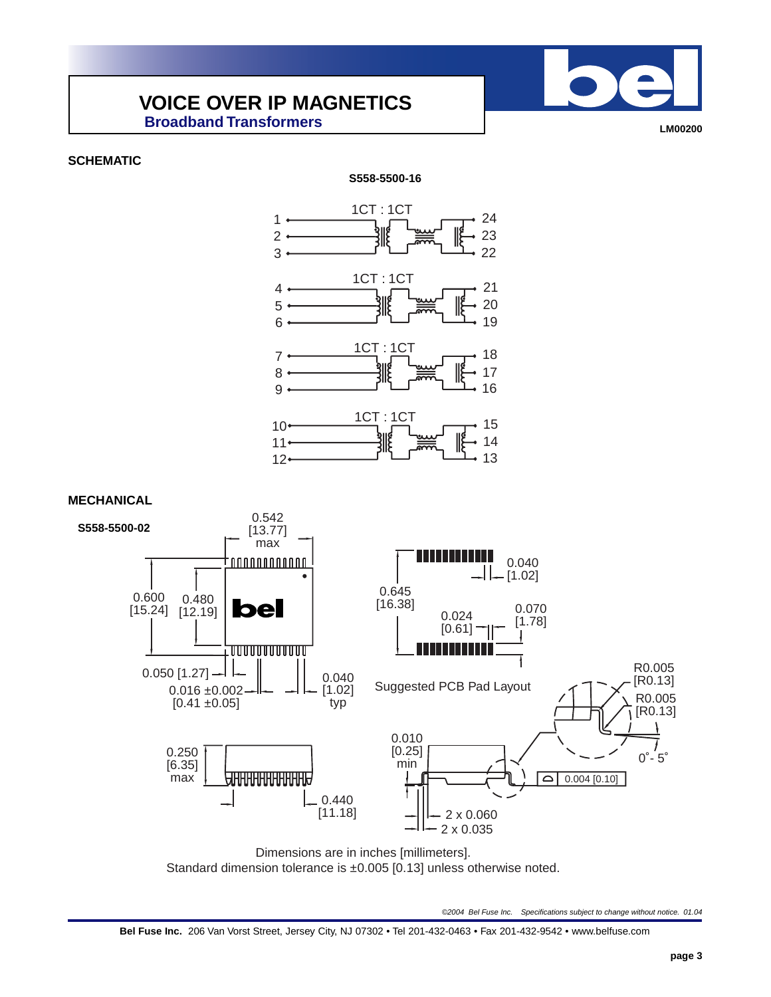**LM00200**

**SCHEMATIC**



Dimensions are in inches [millimeters]. Standard dimension tolerance is ±0.005 [0.13] unless otherwise noted.

©2004 Bel Fuse Inc. Specifications subject to change without notice. 01.04

**Bel Fuse Inc.** 206 Van Vorst Street, Jersey City, NJ 07302 • Tel 201-432-0463 • Fax 201-432-9542 • www.belfuse.com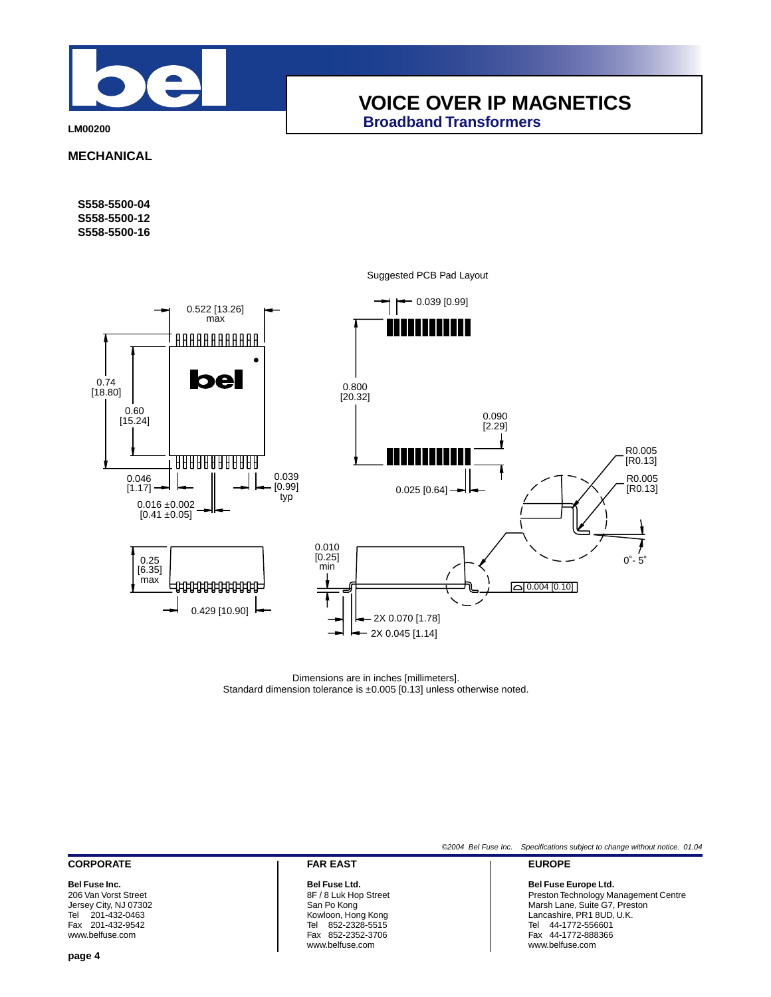

**LM00200**

**MECHANICAL**

**S558-5500-04 S558-5500-12 S558-5500-16**



Suggested PCB Pad Layout

Dimensions are in inches [millimeters]. Standard dimension tolerance is ±0.005 [0.13] unless otherwise noted.

## **CORPORATE**

**Bel Fuse Inc.** 206 Van Vorst Street Jersey City, NJ 07302 Tel 201-432-0463 Fax 201-432-9542 www.belfuse.com

**FAR EAST**

#### **Bel Fuse Ltd.** 8F / 8 Luk Hop Street San Po Kong Kowloon, Hong Kong Tel 852-2328-5515 Fax 852-2352-3706 www.belfuse.com

©2004 Bel Fuse Inc. Specifications subject to change without notice. 01.04

#### **EUROPE**

#### **Bel Fuse Europe Ltd.**

Preston Technology Management Centre Marsh Lane, Suite G7, Preston Lancashire, PR1 8UD, U.K. Tel 44-1772-556601 Fax 44-1772-888366 www.belfuse.com